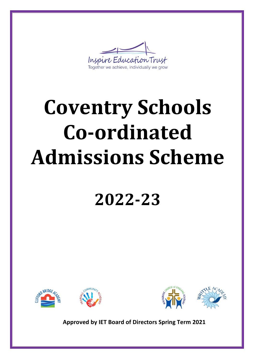

# **Coventry Schools Co-ordinated Admissions Scheme**

# **2022-23**





**Approved by IET Board of Directors Spring Term 2021**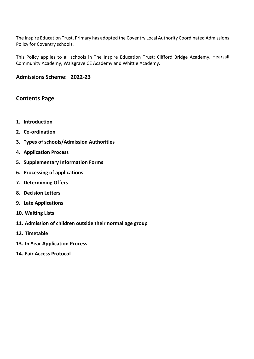The Inspire Education Trust, Primary has adopted the Coventry Local Authority Coordinated Admissions Policy for Coventry schools.

This Policy applies to all schools in The Inspire Education Trust: Clifford Bridge Academy, Hearsall Community Academy, Walsgrave CE Academy and Whittle Academy.

#### **Admissions Scheme: 2022-23**

# **Contents Page**

- **1. Introduction**
- **2. Co-ordination**
- **3. Types of schools/Admission Authorities**
- **4. Application Process**
- **5. Supplementary Information Forms**
- **6. Processing of applications**
- **7. Determining Offers**
- **8. Decision Letters**
- **9. Late Applications**
- **10. Waiting Lists**
- **11. Admission of children outside their normal age group**
- **12. Timetable**
- **13. In Year Application Process**
- **14. Fair Access Protocol**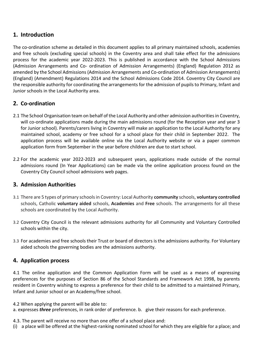# **1. Introduction**

The co-ordination scheme as detailed in this document applies to all primary maintained schools, academies and free schools (excluding special schools) in the Coventry area and shall take effect for the admissions process for the academic year 2022-2023. This is published in accordance with the School Admissions (Admission Arrangements and Co- ordination of Admission Arrangements) (England) Regulation 2012 as amended by the School Admissions (Admission Arrangements and Co-ordination of Admission Arrangements) (England) (Amendment) Regulations 2014 and the School Admissions Code 2014. Coventry City Council are the responsible authority for coordinating the arrangements for the admission of pupils to Primary, Infant and Junior schools in the Local Authority area.

# **2. Co-ordination**

- 2.1 The School Organisation team on behalf of the Local Authority and other admission authorities in Coventry, will co-ordinate applications made during the main admissions round (for the Reception year and year 3 for Junior school). Parents/carers living in Coventry will make an application to the Local Authority for any maintained school, academy or free school for a school place for their child in September 2022. The application process will be available online via the Local Authority website or via a paper common application form from September in the year before children are due to start school.
- 2.2 For the academic year 2022-2023 and subsequent years, applications made outside of the normal admissions round (In Year Applications) can be made via the online application process found on the Coventry City Council school admissions web pages.

#### **3. Admission Authorities**

- 3.1 There are 5 types of primary schools in Coventry: Local Authority **community** schools, **voluntary controlled**  schools, Catholic **voluntary aided** schools, **Academies** and **Free** schools. The arrangements for all these schools are coordinated by the Local Authority.
- 3.2 Coventry City Council is the relevant admissions authority for all Community and Voluntary Controlled schools within the city.
- 3.3 For academies and free schools their Trust or board of directors is the admissions authority. For Voluntary aided schools the governing bodies are the admissions authority.

#### **4. Application process**

4.1 The online application and the Common Application Form will be used as a means of expressing preferences for the purposes of Section 86 of the School Standards and Framework Act 1998, by parents resident in Coventry wishing to express a preference for their child to be admitted to a maintained Primary, Infant and Junior school or an Academy/free school.

4.2 When applying the parent will be able to: a. expresses *three* preferences, in rank order of preference. b. give their reasons for each preference.

4.3. The parent will receive no more than one offer of a school place and:

(i) a place will be offered at the highest-ranking nominated school for which they are eligible for a place; and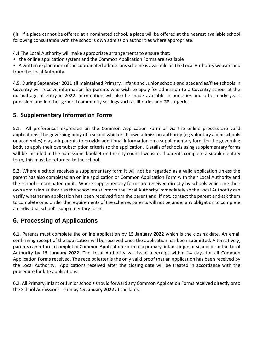(ii) if a place cannot be offered at a nominated school, a place will be offered at the nearest available school following consultation with the school's own admission authorities where appropriate.

4.4 The Local Authority will make appropriate arrangements to ensure that:

• the online application system and the Common Application Forms are available

• A written explanation of the coordinated admissions scheme is available on the Local Authority website and from the Local Authority.

4.5. During September 2021 all maintained Primary, Infant and Junior schools and academies/free schools in Coventry will receive information for parents who wish to apply for admission to a Coventry school at the normal age of entry in 2022. Information will also be made available in nurseries and other early years provision, and in other general community settings such as libraries and GP surgeries.

# **5. Supplementary Information Forms**

5.1. All preferences expressed on the Common Application Form or via the online process are valid applications. The governing body of a school which is its own admission authority (eg voluntary aided schools or academies) may ask parents to provide additional information on a supplementary form for the governing body to apply their oversubscription criteria to the application. Details of schools using supplementary forms will be included in the admissions booklet on the city council website. If parents complete a supplementary form, this must be returned to the school.

5.2. Where a school receives a supplementary form it will not be regarded as a valid application unless the parent has also completed an online application or Common Application Form with their Local Authority and the school is nominated on it. Where supplementary forms are received directly by schools which are their own admission authorities the school must inform the Local Authority immediately so the Local Authority can verify whether an application has been received from the parent and, if not, contact the parent and ask them to complete one. Under the requirements of the scheme, parents will not be under any obligation to complete an individual school's supplementary form.

# **6. Processing of Applications**

6.1. Parents must complete the online application by **15 January 2022** which is the closing date. An email confirming receipt of the application will be received once the application has been submitted. Alternatively, parents can return a completed Common Application Form to a primary, infant or junior school or to the Local Authority by **15 January 2022**. The Local Authority will issue a receipt within 14 days for all Common Application Forms received. The receipt letter is the only valid proof that an application has been received by the Local Authority. Applications received after the closing date will be treated in accordance with the procedure for late applications.

6.2. All Primary, Infant or Junior schools should forward any Common Application Forms received directly onto the School Admissions Team by **15 January 2022** at the latest.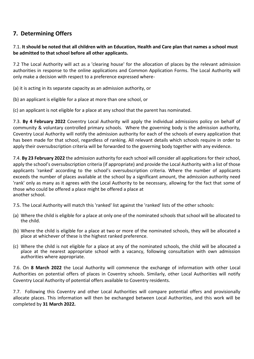# **7. Determining Offers**

#### 7.1. **It should be noted that all children with an Education, Health and Care plan that names a school must be admitted to that school before all other applicants.**

7.2 The Local Authority will act as a 'clearing house' for the allocation of places by the relevant admission authorities in response to the online applications and Common Application Forms. The Local Authority will only make a decision with respect to a preference expressed where-

(a) it is acting in its separate capacity as an admission authority, or

(b) an applicant is eligible for a place at more than one school, or

(c) an applicant is not eligible for a place at any school that the parent has nominated.

7.3. **By 4 February 2022** Coventry Local Authority will apply the individual admissions policy on behalf of community & voluntary controlled primary schools. Where the governing body is the admission authority, Coventry Local Authority will notify the admission authority for each of the schools of every application that has been made for that school, regardless of ranking. All relevant details which schools require in order to apply their oversubscription criteria will be forwarded to the governing body together with any evidence.

7.4. **By 23 February 2022** the admission authority for each school will consider all applications for their school, apply the school's oversubscription criteria (if appropriate) and provide the Local Authority with a list of those applicants 'ranked' according to the school's oversubscription criteria. Where the number of applicants exceeds the number of places available at the school by a significant amount, the admission authority need 'rank' only as many as it agrees with the Local Authority to be necessary, allowing for the fact that some of those who could be offered a place might be offered a place at another school.

7.5. The Local Authority will match this 'ranked' list against the 'ranked' lists of the other schools:

- (a) Where the child is eligible for a place at only one of the nominated schools that school will be allocated to the child.
- (b) Where the child is eligible for a place at two or more of the nominated schools, they will be allocated a place at whichever of these is the highest ranked preference.
- (c) Where the child is not eligible for a place at any of the nominated schools, the child will be allocated a place at the nearest appropriate school with a vacancy, following consultation with own admission authorities where appropriate.

7.6. On **8 March 2022** the Local Authority will commence the exchange of information with other Local Authorities on potential offers of places in Coventry schools. Similarly, other Local Authorities will notify Coventry Local Authority of potential offers available to Coventry residents.

7.7. Following this Coventry and other Local Authorities will compare potential offers and provisionally allocate places. This information will then be exchanged between Local Authorities, and this work will be completed by **31 March 2022.**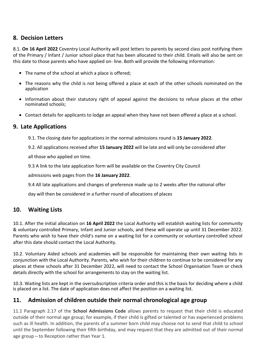# **8. Decision Letters**

8.1. **On 16 April 2022** Coventry Local Authority will post letters to parents by second class post notifying them of the Primary / Infant / Junior school place that has been allocated to their child. Emails will also be sent on this date to those parents who have applied on- line. Both will provide the following information:

- The name of the school at which a place is offered;
- The reasons why the child is not being offered a place at each of the other schools nominated on the application
- Information about their statutory right of appeal against the decisions to refuse places at the other nominated schools;
- Contact details for applicants to lodge an appeal when they have not been offered a place at a school.

#### **9. Late Applications**

9.1. The closing date for applications in the normal admissions round is **15 January 2022**.

9.2. All applications received after **15 January 2022** will be late and will only be considered after

all those who applied on time.

9.3 A link to the late application form will be available on the Coventry City Council

admissions web pages from the **16 January 2022**.

9.4 All late applications and changes of preference made up to 2 weeks after the national offer

day will then be considered in a further round of allocations of places

#### **10. Waiting Lists**

10.1. After the initial allocation on **16 April 2022** the Local Authority will establish waiting lists for community & voluntary controlled Primary, Infant and Junior schools, and these will operate up until 31 December 2022. Parents who wish to have their child's name on a waiting list for a community or voluntary controlled school after this date should contact the Local Authority.

10.2. Voluntary Aided schools and academies will be responsible for maintaining their own waiting lists in conjunction with the Local Authority. Parents, who wish for their children to continue to be considered for any places at these schools after 31 December 2022, will need to contact the School Organisation Team or check details directly with the school for arrangements to stay on the waiting list.

10.3. Waiting lists are kept in the oversubscription criteria order and this is the basis for deciding where a child is placed on a list. The date of application does not affect the position on a waiting list.

#### **11. Admission of children outside their normal chronological age group**

11.1 Paragraph 2.17 of the **School Admissions Code** allows parents to request that their child is educated outside of their normal age group; for example, if their child is gifted or talented or has experienced problems such as ill health. In addition, the parents of a summer born child may choose not to send that child to school until the September following their fifth birthday, and may request that they are admitted out of their normal age group – to Reception rather than Year 1.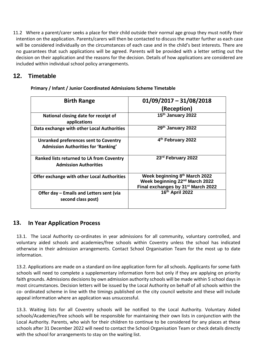11.2 Where a parent/carer seeks a place for their child outside their normal age group they must notify their intention on the application. Parents/carers will then be contacted to discuss the matter further as each case will be considered individually on the circumstances of each case and in the child's best interests. There are no guarantees that such applications will be agreed. Parents will be provided with a letter setting out the decision on their application and the reasons for the decision. Details of how applications are considered are included within individual school policy arrangements.

# **12. Timetable**

| <b>Birth Range</b>                                                                  | $01/09/2017 - 31/08/2018$                                                                                                     |
|-------------------------------------------------------------------------------------|-------------------------------------------------------------------------------------------------------------------------------|
|                                                                                     | (Reception)                                                                                                                   |
| National closing date for receipt of<br>applications                                | 15th January 2022                                                                                                             |
| Data exchange with other Local Authorities                                          | 29th January 2022                                                                                                             |
| Unranked preferences sent to Coventry<br><b>Admission Authorities for 'Ranking'</b> | 4 <sup>th</sup> February 2022                                                                                                 |
| <b>Ranked lists returned to LA from Coventry</b><br><b>Admission Authorities</b>    | 23 <sup>rd</sup> February 2022                                                                                                |
| <b>Offer exchange with other Local Authorities</b>                                  | Week beginning 8th March 2022<br>Week beginning 22 <sup>nd</sup> March 2022<br>Final exchanges by 31 <sup>st</sup> March 2022 |
| Offer day – Emails and Letters sent (via<br>second class post)                      | 16th April 2022                                                                                                               |

**Primary / Infant / Junior Coordinated Admissions Scheme Timetable**

# **13. In Year Application Process**

13.1. The Local Authority co-ordinates in year admissions for all community, voluntary controlled, and voluntary aided schools and academies/free schools within Coventry unless the school has indicated otherwise in their admission arrangements. Contact School Organisation Team for the most up to date information.

13.2. Applications are made on a standard on-line application form for all schools. Applicants for some faith schools will need to complete a supplementary information form but only if they are applying on priority faith grounds. Admissions decisions by own admission authority schools will be made within 5 school days in most circumstances. Decision letters will be issued by the Local Authority on behalf of all schools within the co- ordinated scheme in line with the timings published on the city council website and these will include appeal information where an application was unsuccessful.

13.3. Waiting lists for all Coventry schools will be notified to the Local Authority. Voluntary Aided schools/Academies/free schools will be responsible for maintaining their own lists in conjunction with the Local Authority. Parents, who wish for their children to continue to be considered for any places at these schools after 31 December 2022 will need to contact the School Organisation Team or check details directly with the school for arrangements to stay on the waiting list.